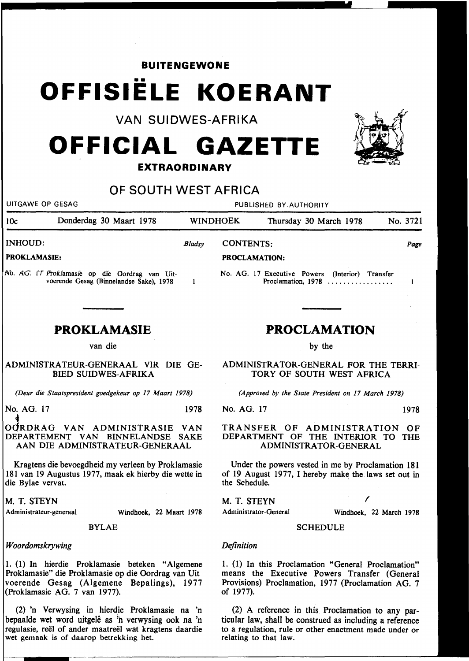# **BUITENGEWONE**  •• **OFFISIELE KOERANT**

VAN SUIDWES-AFRIKA

# **OFFICIAL GAZETTE**

### **EXTRAORDINARY**

## OF SOUTH WEST AFRICA

UITGAWE OP GESAG PUBLISHED BY.AUTHORITY lOc Donderdag 30 Maart 1978 WINDHOEK Thursday 30 March 1978 No. 3721 INHOUD: *Bladsy*  CONTENTS: *Page*  PROKLAMASIE: PROCLAMATION: No. AG. 17 Executive Powers (Interior) Transfer 1\b. *AG.* tT f7roi(famasie op die Oordrag van Uit- $\mathbf{1}$ Proclamation, 1978 ................. voerende Gesag (Binnelandse Sake), 1978  $\mathbf{I}$ **PROKLAMASIE PROCLAMATION**  van die by the ADMINISTRATEUR-GENERAAL VIR DIE GE-ADMINISTRATOR-GENERAL FOR THE TERRI-BIED SUIDWES-AFRIKA TORY OF SOUTH WEST AFRICA *(Deur die Staatspresident goedgekeur op 17 Maart 1978) (Approved by the State President on 17 March 1978)*  No. AG. 17 1978 No. AG. 17 1978 ,. OdRDRAG VAN ADMINISTRASIE VAN TRANSFER OF ADMINISTRATION OF DEPARTEMENT VAN BINNELANDSE SAKE DEPARTMENT OF THE INTERIOR TO THE AAN DIE ADMINISTRATEUR-GENERAAL ADMINISTRATOR-GENERAL Kragtens die bevoegdheid my verleen by Proklamasie 181 van 19 Augustus 1977, maak ek hierby die wette in the Schedule.  $\sqrt{2}$ M. T. STEYN Administrateur-generaal Administrator-General Windhoek, 22 Maart 1978 BYLAE **SCHEDULE** *Definition Woordomskrywing*  1. ( 1) In hierdie Proklamasie beteken "Algemene 1. (1) In this Proclamation "General Proclamation"

Proklamasie" die Proklamasie op die Oordrag van Uitvoerende Gesag (Algemene Bepalings), 1977 (Proklamasie AG. 7 van 1977).

(2) 'n Verwysing in hierdie Proklamasie na 'n bepaalde wet word uitgelê as 'n verwysing ook na 'n regulasie, reel of ander maatreel wat kragtens daardie wet gemaak is of daarop betrekking het.

(2) A reference in this Proclamation to any particular law, shall be construed as including a reference to a regulation, rule or other enactment made under or relating to that law.

Under the powers vested in me by Proclamation 181 of 19 August 1977, I hereby make the laws set out in

Windhoek, 22 March 1978

means the Executive Powers Transfer (General Provisions) Proclamation, 1977 (Proclamation AG. 7 of 1977).



die Bylae vervat.

M. T. STEYN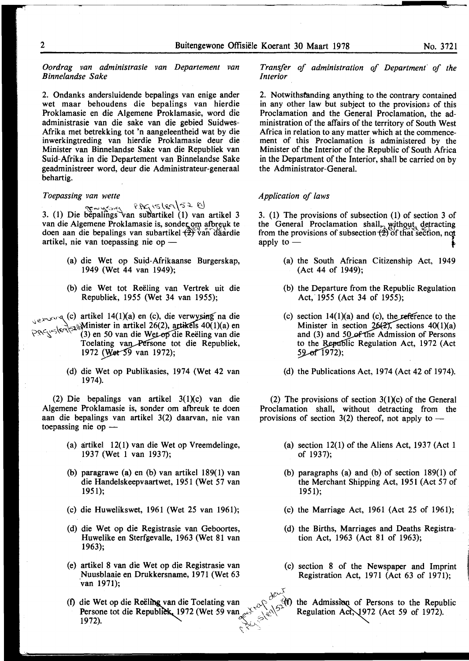*Oordrag van administrasie van Departement van Binnelandse Sake* 

2. Ondanks andersluidende bepalings van enige ander wet maar behoudens die bepalings van hierdie Proklamasie en die Algemene Proklamasie, word die administrasie van die sake van die gebied Suidwes-Afrika met betrekking tot 'n aangeleentheid wat by die inwerkingtreding van hierdie Proklamasie deur die Minister van Binnelandse Sake van die Republiek van Suid-Afrika in die Departement van Binnelandse Sake geadministreer word, deur die Administrateur-generaal behartig.

#### *Toepassing van wette*

~...;~,,,c~ \'.~ 1.-::;('i:.,q\'5~ t:) 3. (1) Die bepalings van subartikel (1) van artikel 3 van die Algemene Proklamasie is, sonder om afbreuk te doen aan die bepalings van subartikel  $\left(\frac{2}{x}\right)^{1/2}$ van daardie artikel, nie van toepassing nie op  $-$ 

- (a) die Wet op Suid-Afrikaanse Burgerskap, 1949 (Wet 44 van 1949);
- (b) die Wet tot Reeling van Vertrek uit die Republiek, 1955 (Wet 34 van 1955);

 $\sum_{x \in X}$  (c) artikel 14(1)(a) en (c), die verwysing na die  $\sum_{k=1}^{\infty}$  - $\sum_{k=1}^{\infty}$  Minister in artikel 26(2), artikels 40(1)(a) en  $P_{\mathcal{P}}(s) = (3)$  en 50 van die Wetop die Reëling van die Toelating van Persone tot die Republiek, 1972 (Wet 59 van 1972);

> (d) die Wet op Publikasies, 1974 (Wet 42 van 1974).

(2) Die bepalings van artikel  $3(1)(c)$  van die Algemene Proklamasie is, sonder om afbreuk te doen aan die bepalings van artikel 3(2) daarvan, nie van toepassing nie op  $-$ 

- (a) artikel 12(1) van die Wet op Vreemdelinge, 1937 (Wet 1 van 1937);
- (b) paragrawe (a) en (b) van artikel 189(1) van die Handelskeepvaartwet, 1951 (Wet 57 van 1951);
- (c) die Huwelikswet, 1961 (Wet 25 van 1961);
- (d) die Wet op die Registrasie van Geboortes, Huwelike en Sterfgevalle, 1963 (Wet 81 van 1963);
- (e) artikel 8 van die Wet op die Registrasie van Nuusblaaie en Drukkersname, 1971 (Wet 63 'van 1971);
- (f) die Wet op die Reëling van die Toelating van ... <sup>Q</sup>'<sub>i</sub> <sup>c</sup>, <sup>c</sup>(f) the Admission of Persons to the Republic Persone tot die Republick 1972 (Wet 59 van  $e^{(\lambda^2)^2}$ . Regulation Act, 1972 (Act 59 of 1972).<br>1972). 1972). ~~0\, C" ., \_;

*Transfer of administration of Department' of the Interior* 

2. Notwithstanding anything to the contrary contained in any other law but subject to the provisions of this Proclamation and the General Proclamation, the administration of the affairs of the territory of South West Africa in relation to any matter which at the commencement of this Proclamation is administered by the Minister of the Interior of the Republic of South Africa in the Department of the Interior, shall be carried on by the Administrator-General.

#### *Application of laws*

*(>11-r-'(* 

•,

3. (1) The provisions of subsection (1) of section 3 of the General Proclamation shall, without detracting from the provisions of subsection  $\overrightarrow{2}$  of that section, not apply to  $-$ 

- (a) the South African Citizenship Act, 1949 (Act 44 of 1949);
- (b) the Departure from the Republic Regulation Act, 1955 (Act 34 of 1955);
- (c) section  $14(1)(a)$  and (c), the reference to the Minister in section  $26(2)$ , sections  $40(1)(a)$ and (3) and 50 of the Admission of Persons to the Republic Regulation Act, 1972 (Act  $59 - of$  1972);
- (d) the Publications Act, 1974 (Act 42 of 1974).

(2) The provisions of section  $3(1)(c)$  of the General Proclamation shall, without detracting from the provisions of section  $3(2)$  thereof, not apply to -

- (a) section 12(1) of the Aliens Act, 1937 (Act 1 of 1937);
- (b) paragraphs (a) and (b) of section 189(1) of the Merchant Shipping Act, 1951 (Act 57 of 1951);
- (c) the Marriage Act, 1961 (Act 25 of 1961);
- (d) the Births, Marriages and Deaths Registration Act, 1963 (Act 81 of 1963);
- (c) section 8 of the Newspaper and Imprint Registration Act, 1971 (Act 63 of 1971);